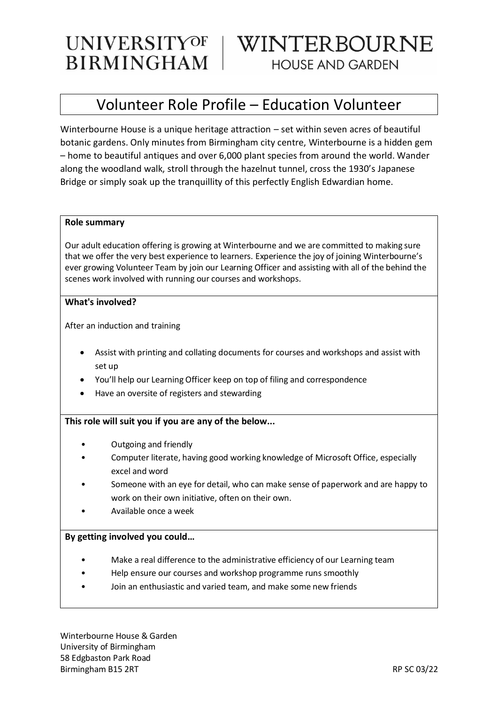#### UNIVERSITYOF WINTERBOURNE **BIRMINGHAM HOUSE AND GARDEN**

### Volunteer Role Profile – Education Volunteer

Winterbourne House is a unique heritage attraction – set within seven acres of beautiful botanic gardens. Only minutes from Birmingham city centre, Winterbourne is a hidden gem – home to beautiful antiques and over 6,000 plant species from around the world. Wander along the woodland walk, stroll through the hazelnut tunnel, cross the 1930's Japanese Bridge or simply soak up the tranquillity of this perfectly English Edwardian home.

#### **Role summary**

Our adult education offering is growing at Winterbourne and we are committed to making sure that we offer the very best experience to learners. Experience the joy of joining Winterbourne's ever growing Volunteer Team by join our Learning Officer and assisting with all of the behind the scenes work involved with running our courses and workshops.

#### **What's involved?**

After an induction and training

- Assist with printing and collating documents for courses and workshops and assist with set up
- You'll help our Learning Officer keep on top of filing and correspondence
- Have an oversite of registers and stewarding

#### **This role will suit you if you are any of the below...**

- Outgoing and friendly
- Computer literate, having good working knowledge of Microsoft Office, especially excel and word
- Someone with an eye for detail, who can make sense of paperwork and are happy to work on their own initiative, often on their own.
- Available once a week

#### **By getting involved you could…**

- Make a real difference to the administrative efficiency of our Learning team
- Help ensure our courses and workshop programme runs smoothly
- Join an enthusiastic and varied team, and make some new friends

Winterbourne House & Garden University of Birmingham 58 Edgbaston Park Road Birmingham B15 2RT RP SC 03/22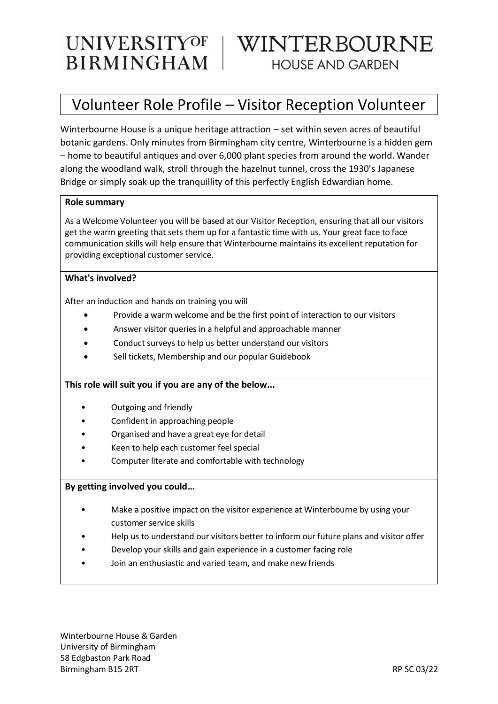# **UNIVERSITYOF BIRMINGHAM**

## WINTERBOURNE **HOUSE AND GARDEN**

## Volunteer Role Profile – Visitor Reception Volunteer

Winterbourne House is a unique heritage attraction – set within seven acres of beautiful botanic gardens. Only minutes from Birmingham city centre, Winterbourne is a hidden gem – home to beautiful antiques and over 6,000 plant species from around the world. Wander along the woodland walk, stroll through the hazelnut tunnel, cross the 1930's Japanese Bridge or simply soak up the tranquillity of this perfectly English Edwardian home.

#### **Role summary**

As a Welcome Volunteer you will be based at our Visitor Reception, ensuring that all our visitors get the warm greeting that sets them up for a fantastic time with us. Your great face to face communication skills will help ensure that Winterbourne maintains its excellent reputation for providing exceptional customer service.

#### **What's involved?**

After an induction and hands on training you will

- Provide a warm welcome and be the first point of interaction to our visitors
- Answer visitor queries in a helpful and approachable manner
- Conduct surveys to help us better understand our visitors
- Sell tickets, Membership and our popular Guidebook

#### **This role will suit you if you are any of the below...**

- Outgoing and friendly
- Confident in approaching people
- Organised and have a great eye for detail
- Keen to help each customer feel special
- Computer literate and comfortable with technology

#### **By getting involved you could…**

- Make a positive impact on the visitor experience at Winterbourne by using your customer service skills
- Help us to understand our visitors better to inform our future plans and visitor offer
- Develop your skills and gain experience in a customer facing role
- Join an enthusiastic and varied team, and make new friends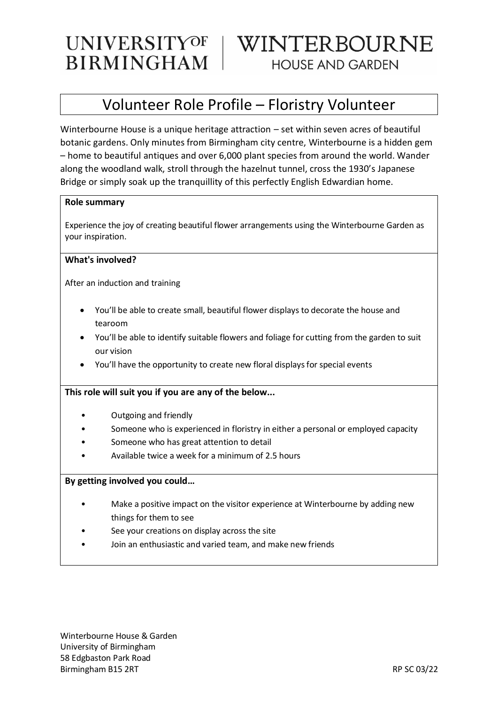# UNIVERSITYOF **BIRMINGHAM**

## WINTERBOURNE **HOUSE AND GARDEN**

## Volunteer Role Profile – Floristry Volunteer

Winterbourne House is a unique heritage attraction – set within seven acres of beautiful botanic gardens. Only minutes from Birmingham city centre, Winterbourne is a hidden gem – home to beautiful antiques and over 6,000 plant species from around the world. Wander along the woodland walk, stroll through the hazelnut tunnel, cross the 1930's Japanese Bridge or simply soak up the tranquillity of this perfectly English Edwardian home.

#### **Role summary**

Experience the joy of creating beautiful flower arrangements using the Winterbourne Garden as your inspiration.

#### **What's involved?**

After an induction and training

- You'll be able to create small, beautiful flower displays to decorate the house and tearoom
- You'll be able to identify suitable flowers and foliage for cutting from the garden to suit our vision
- You'll have the opportunity to create new floral displays for special events

#### **This role will suit you if you are any of the below...**

- Outgoing and friendly
- Someone who is experienced in floristry in either a personal or employed capacity
- Someone who has great attention to detail
- Available twice a week for a minimum of 2.5 hours

#### **By getting involved you could…**

- Make a positive impact on the visitor experience at Winterbourne by adding new things for them to see
- See your creations on display across the site
- Join an enthusiastic and varied team, and make new friends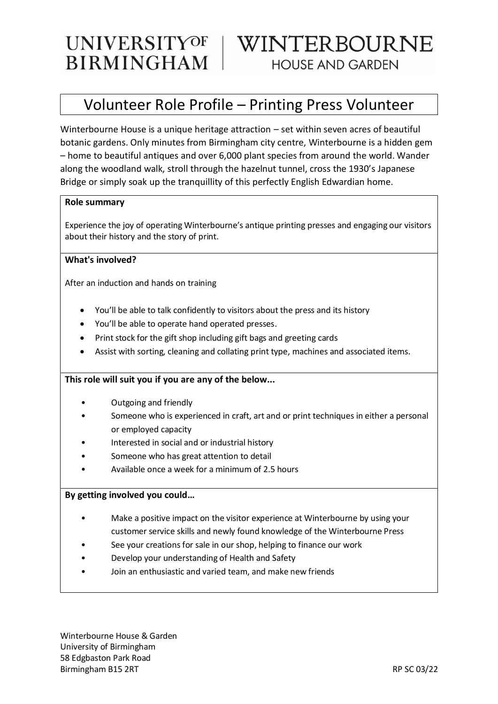# UNIVERSITYOF **BIRMINGHAM**

## WINTERBOURNE **HOUSE AND GARDEN**

### Volunteer Role Profile – Printing Press Volunteer

Winterbourne House is a unique heritage attraction – set within seven acres of beautiful botanic gardens. Only minutes from Birmingham city centre, Winterbourne is a hidden gem – home to beautiful antiques and over 6,000 plant species from around the world. Wander along the woodland walk, stroll through the hazelnut tunnel, cross the 1930's Japanese Bridge or simply soak up the tranquillity of this perfectly English Edwardian home.

#### **Role summary**

Experience the joy of operating Winterbourne's antique printing presses and engaging our visitors about their history and the story of print.

#### **What's involved?**

After an induction and hands on training

- You'll be able to talk confidently to visitors about the press and its history
- You'll be able to operate hand operated presses.
- Print stock for the gift shop including gift bags and greeting cards
- Assist with sorting, cleaning and collating print type, machines and associated items.

#### **This role will suit you if you are any of the below...**

- Outgoing and friendly
- Someone who is experienced in craft, art and or print techniques in either a personal or employed capacity
- Interested in social and or industrial history
- Someone who has great attention to detail
- Available once a week for a minimum of 2.5 hours

#### **By getting involved you could…**

- Make a positive impact on the visitor experience at Winterbourne by using your customer service skills and newly found knowledge of the Winterbourne Press
- See your creations for sale in our shop, helping to finance our work
- Develop your understanding of Health and Safety
- Join an enthusiastic and varied team, and make new friends

Winterbourne House & Garden University of Birmingham 58 Edgbaston Park Road Birmingham B15 2RT RP SC 03/22